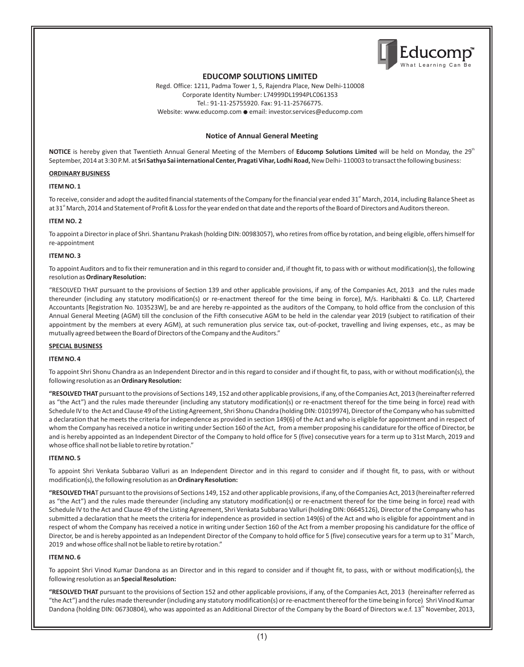

## **EDUCOMP SOLUTIONS LIMITED**

Regd. Office: 1211, Padma Tower 1, 5, Rajendra Place, New Delhi-110008 Corporate Identity Number: L74999DL1994PLC061353 Tel.: 91-11-25755920. Fax: 91-11-25766775. Website: www.educomp.com **●** email: investor.services@educomp.com

### **Notice of Annual General Meeting**

NOTICE is hereby given that Twentieth Annual General Meeting of the Members of Educomp Solutions Limited will be held on Monday, the 29<sup>th</sup> September, 2014 at 3:30 P.M. at **Sri Sathya Sai international Center, Pragati Vihar, Lodhi Road,**New Delhi- 110003 to transact the following business:

### **ORDINARY BUSINESS**

#### **ITEM NO. 1**

To receive, consider and adopt the audited financial statements of the Company for the financial year ended 31<sup>st</sup> March, 2014, including Balance Sheet as at 31<sup>st</sup> March, 2014 and Statement of Profit & Loss for the year ended on that date and the reports of the Board of Directors and Auditors thereon.

#### **ITEM NO. 2**

To appoint a Director in place of Shri. Shantanu Prakash (holding DIN: 00983057), who retires from office by rotation, and being eligible, offers himself for re-appointment

#### **ITEM NO. 3**

To appoint Auditors and to fix their remuneration and in this regard to consider and, if thought fit, to pass with or without modification(s), the following resolution as **Ordinary Resolution:**

"RESOLVED THAT pursuant to the provisions of Section 139 and other applicable provisions, if any, of the Companies Act, 2013 and the rules made thereunder (including any statutory modification(s) or re-enactment thereof for the time being in force), M/s. Haribhakti & Co. LLP, Chartered Accountants [Registration No. 103523W], be and are hereby re-appointed as the auditors of the Company, to hold office from the conclusion of this Annual General Meeting (AGM) till the conclusion of the Fifth consecutive AGM to be held in the calendar year 2019 (subject to ratification of their appointment by the members at every AGM), at such remuneration plus service tax, out-of-pocket, travelling and living expenses, etc., as may be mutually agreed between the Board of Directors of the Company and the Auditors."

### **SPECIAL BUSINESS**

### **ITEM NO. 4**

To appoint Shri Shonu Chandra as an Independent Director and in this regard to consider and if thought fit, to pass, with or without modification(s), the following resolution as an **Ordinary Resolution:**

**"RESOLVED THAT** pursuant to the provisions of Sections 149, 152 and other applicable provisions, if any, of the Companies Act, 2013 (hereinafter referred as "the Act") and the rules made thereunder (including any statutory modification(s) or re-enactment thereof for the time being in force) read with Schedule IV to the Act and Clause 49 of the Listing Agreement, Shri Shonu Chandra (holding DIN: 01019974), Director of the Company who has submitted a declaration that he meets the criteria for independence as provided in section 149(6) of the Act and who is eligible for appointment and in respect of whom the Company has received a notice in writing under Section 160 of the Act, from a member proposing his candidature for the office of Director, be and is hereby appointed as an Independent Director of the Company to hold office for 5 (five) consecutive years for a term up to 31st March, 2019 and whose office shall not be liable to retire by rotation."

### **ITEM NO. 5**

To appoint Shri Venkata Subbarao Valluri as an Independent Director and in this regard to consider and if thought fit, to pass, with or without modification(s), the following resolution as an **Ordinary Resolution:**

**"RESOLVED THA**T pursuant to the provisions of Sections 149, 152 and other applicable provisions, if any, of the Companies Act, 2013 (hereinafter referred as "the Act") and the rules made thereunder (including any statutory modification(s) or re-enactment thereof for the time being in force) read with Schedule IV to the Act and Clause 49 of the Listing Agreement, Shri Venkata Subbarao Valluri (holding DIN: 06645126), Director of the Company who has submitted a declaration that he meets the criteria for independence as provided in section 149(6) of the Act and who is eligible for appointment and in respect of whom the Company has received a notice in writing under Section 160 of the Act from a member proposing his candidature for the office of Director, be and is hereby appointed as an Independent Director of the Company to hold office for 5 (five) consecutive years for a term up to 31<sup>st</sup> March, 2019 and whose office shall not be liable to retire by rotation."

### **ITEM NO. 6**

To appoint Shri Vinod Kumar Dandona as an Director and in this regard to consider and if thought fit, to pass, with or without modification(s), the following resolution as an **Special Resolution:**

**"RESOLVED THAT** pursuant to the provisions of Section 152 and other applicable provisions, if any, of the Companies Act, 2013 (hereinafter referred as "the Act") and the rules made thereunder (including any statutory modification(s) or re-enactment thereof for the time being in force) Shri Vinod Kumar Dandona (holding DIN: 06730804), who was appointed as an Additional Director of the Company by the Board of Directors w.e.f. 13<sup>th</sup> November, 2013,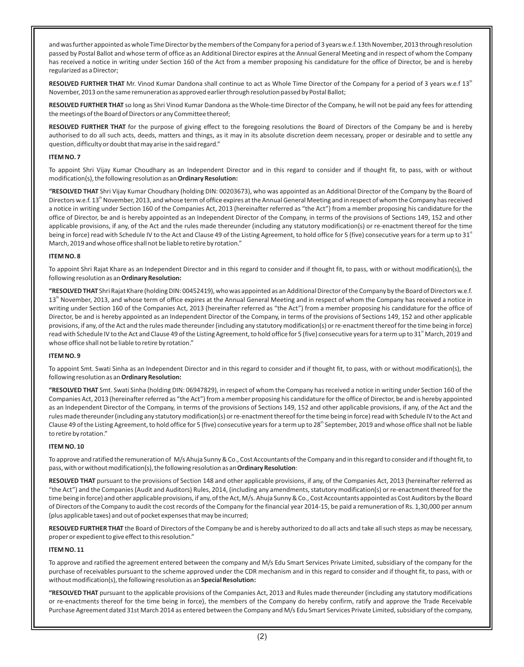and was further appointed as whole Time Director by the members of the Company for a period of 3 years w.e.f. 13th November, 2013 through resolution passed by Postal Ballot and whose term of office as an Additional Director expires at the Annual General Meeting and in respect of whom the Company has received a notice in writing under Section 160 of the Act from a member proposing his candidature for the office of Director, be and is hereby regularized as a Director;

RESOLVED FURTHER THAT Mr. Vinod Kumar Dandona shall continue to act as Whole Time Director of the Company for a period of 3 years w.e.f 13<sup>th</sup> November, 2013 on the same remuneration as approved earlier through resolution passed by Postal Ballot;

**RESOLVED FURTHER THAT** so long as Shri Vinod Kumar Dandona as the Whole-time Director of the Company, he will not be paid any fees for attending the meetings of the Board of Directors or any Committee thereof;

**RESOLVED FURTHER THAT** for the purpose of giving effect to the foregoing resolutions the Board of Directors of the Company be and is hereby authorised to do all such acts, deeds, matters and things, as it may in its absolute discretion deem necessary, proper or desirable and to settle any question, difficulty or doubt that may arise in the said regard."

#### **ITEM NO. 7**

To appoint Shri Vijay Kumar Choudhary as an Independent Director and in this regard to consider and if thought fit, to pass, with or without modification(s), the following resolution as an **Ordinary Resolution:**

**"RESOLVED THAT** Shri Vijay Kumar Choudhary (holding DIN: 00203673), who was appointed as an Additional Director of the Company by the Board of Directors w.e.f.  $13<sup>th</sup>$  November, 2013, and whose term of office expires at the Annual General Meeting and in respect of whom the Company has received a notice in writing under Section 160 of the Companies Act, 2013 (hereinafter referred as "the Act") from a member proposing his candidature for the office of Director, be and is hereby appointed as an Independent Director of the Company, in terms of the provisions of Sections 149, 152 and other applicable provisions, if any, of the Act and the rules made thereunder (including any statutory modification(s) or re-enactment thereof for the time being in force) read with Schedule IV to the Act and Clause 49 of the Listing Agreement, to hold office for 5 (five) consecutive years for a term up to 31" March, 2019 and whose office shall not be liable to retire by rotation."

#### **ITEM NO. 8**

To appoint Shri Rajat Khare as an Independent Director and in this regard to consider and if thought fit, to pass, with or without modification(s), the following resolution as an **Ordinary Resolution:**

**"RESOLVED THAT** Shri Rajat Khare (holding DIN: 00452419), who was appointed as an Additional Director of the Company by the Board of Directors w.e.f. 13<sup>th</sup> November, 2013, and whose term of office expires at the Annual General Meeting and in respect of whom the Company has received a notice in writing under Section 160 of the Companies Act, 2013 (hereinafter referred as "the Act") from a member proposing his candidature for the office of Director, be and is hereby appointed as an Independent Director of the Company, in terms of the provisions of Sections 149, 152 and other applicable provisions, if any, of the Act and the rules made thereunder (including any statutory modification(s) or re-enactment thereof for the time being in force) read with Schedule IV to the Act and Clause 49 of the Listing Agreement, to hold office for 5 (five) consecutive years for a term up to 31<sup>st</sup> March, 2019 and whose office shall not be liable to retire by rotation."

#### **ITEM NO. 9**

To appoint Smt. Swati Sinha as an Independent Director and in this regard to consider and if thought fit, to pass, with or without modification(s), the following resolution as an **Ordinary Resolution:**

**"RESOLVED THAT** Smt. Swati Sinha (holding DIN: 06947829), in respect of whom the Company has received a notice in writing under Section 160 of the Companies Act, 2013 (hereinafter referred as "the Act") from a member proposing his candidature for the office of Director, be and is hereby appointed as an Independent Director of the Company, in terms of the provisions of Sections 149, 152 and other applicable provisions, if any, of the Act and the rules made thereunder (including any statutory modification(s) or re-enactment thereof for the time being in force) read with Schedule IV to the Act and Clause 49 of the Listing Agreement, to hold office for 5 (five) consecutive years for a term up to 28<sup>th</sup> September, 2019 and whose office shall not be liable to retire by rotation."

### **ITEM NO. 10**

To approve and ratified the remuneration of M/s Ahuja Sunny & Co., Cost Accountants of the Company and in this regard to consider and if thought fit, to pass, with or without modification(s), the following resolution as an **Ordinary Resolution**:

**RESOLVED THAT** pursuant to the provisions of Section 148 and other applicable provisions, if any, of the Companies Act, 2013 (hereinafter referred as "the Act") and the Companies (Audit and Auditors) Rules, 2014, (including any amendments, statutory modification(s) or re-enactment thereof for the time being in force) and other applicable provisions, if any, of the Act, M/s. Ahuja Sunny & Co., Cost Accountants appointed as Cost Auditors by the Board of Directors of the Company to audit the cost records of the Company for the financial year 2014-15, be paid a remuneration of Rs. 1,30,000 per annum (plus applicable taxes) and out of pocket expenses that may be incurred;

**RESOLVED FURTHER THAT** the Board of Directors of the Company be and is hereby authorized to do all acts and take all such steps as may be necessary, proper or expedient to give effect to this resolution."

### **ITEM NO. 11**

To approve and ratified the agreement entered between the company and M/s Edu Smart Services Private Limited, subsidiary of the company for the purchase of receivables pursuant to the scheme approved under the CDR mechanism and in this regard to consider and if thought fit, to pass, with or without modification(s), the following resolution as an **Special Resolution:**

**"RESOLVED THAT** pursuant to the applicable provisions of the Companies Act, 2013 and Rules made thereunder (including any statutory modifications or re-enactments thereof for the time being in force), the members of the Company do hereby confirm, ratify and approve the Trade Receivable Purchase Agreement dated 31st March 2014 as entered between the Company and M/s Edu Smart Services Private Limited, subsidiary of the company,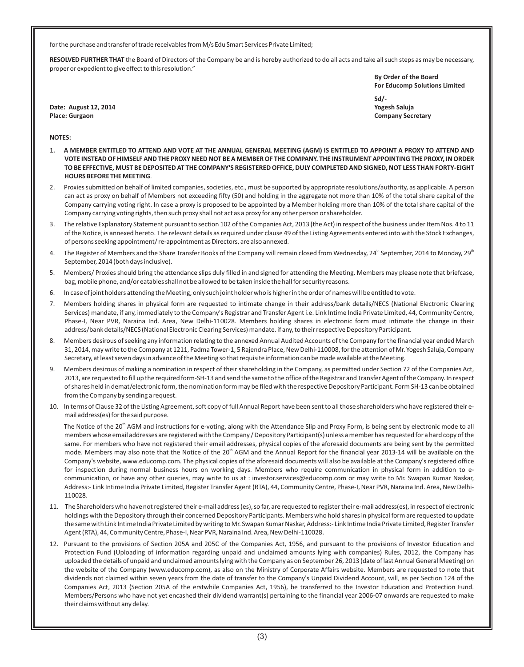for the purchase and transfer of trade receivables from M/s Edu Smart Services Private Limited;

**RESOLVED FURTHER THAT** the Board of Directors of the Company be and is hereby authorized to do all acts and take all such steps as may be necessary, proper or expedient to give effect to this resolution."

> **By Order of the Board For Educomp Solutions Limited**

**Date: August 12, 2014 Yogesh Saluja Place: Gurgaon Company Secretary** 

**Sd/-**

### **NOTES:**

- 1**. A MEMBER ENTITLED TO ATTEND AND VOTE AT THE ANNUAL GENERAL MEETING (AGM) IS ENTITLED TO APPOINT A PROXY TO ATTEND AND VOTE INSTEAD OF HIMSELF AND THE PROXY NEED NOT BE A MEMBER OF THE COMPANY. THE INSTRUMENT APPOINTING THE PROXY, IN ORDER TO BE EFFECTIVE, MUST BE DEPOSITED AT THE COMPANY'S REGISTERED OFFICE, DULY COMPLETED AND SIGNED, NOT LESS THAN FORTY-EIGHT HOURS BEFORE THE MEETING**.
- 2. Proxies submitted on behalf of limited companies, societies, etc., must be supported by appropriate resolutions/authority, as applicable. A person can act as proxy on behalf of Members not exceeding fifty (50) and holding in the aggregate not more than 10% of the total share capital of the Company carrying voting right. In case a proxy is proposed to be appointed by a Member holding more than 10% of the total share capital of the Company carrying voting rights, then such proxy shall not act as a proxy for any other person or shareholder.
- 3. The relative Explanatory Statement pursuant to section 102 of the Companies Act, 2013 (the Act) in respect of the business under Item Nos. 4 to 11 of the Notice, is annexed hereto. The relevant details as required under clause 49 of the Listing Agreements entered into with the Stock Exchanges, of persons seeking appointment/ re-appointment as Directors, are also annexed.
- 4. The Register of Members and the Share Transfer Books of the Company will remain closed from Wednesday, 24<sup>th</sup> September, 2014 to Monday, 29<sup>th</sup> September, 2014 (both days inclusive).
- 5. Members/ Proxies should bring the attendance slips duly filled in and signed for attending the Meeting. Members may please note that briefcase, bag, mobile phone, and/or eatables shall not be allowed to be taken inside the hall for security reasons.
- 6. In case of joint holders attending the Meeting, only such joint holder who is higher in the order of names will be entitled to vote.
- 7. Members holding shares in physical form are requested to intimate change in their address/bank details/NECS (National Electronic Clearing Services) mandate, if any, immediately to the Company's Registrar and Transfer Agent i.e. Link Intime India Private Limited, 44, Community Centre, Phase-I, Near PVR, Naraina Ind. Area, New Delhi-110028. Members holding shares in electronic form must intimate the change in their address/bank details/NECS (National Electronic Clearing Services) mandate. if any, to their respective Depository Participant.
- 8. Members desirous of seeking any information relating to the annexed Annual Audited Accounts of the Company for the financial year ended March 31, 2014, may write to the Company at 1211, Padma Tower-1, 5 Rajendra Place, New Delhi-110008, for the attention of Mr. Yogesh Saluja, Company Secretary, at least seven days in advance of the Meeting so that requisite information can be made available at the Meeting.
- 9. Members desirous of making a nomination in respect of their shareholding in the Company, as permitted under Section 72 of the Companies Act, 2013, are requested to fill up the required form-SH-13 and send the same to the office of the Registrar and Transfer Agent of the Company. In respect of shares held in demat/electronic form, the nomination form may be filed with the respective Depository Participant. Form SH-13 can be obtained from the Company by sending a request.
- 10. In terms of Clause 32 of the Listing Agreement, soft copy of full Annual Report have been sent to all those shareholders who have registered their email address(es) for the said purpose.

The Notice of the 20<sup>th</sup> AGM and instructions for e-voting, along with the Attendance Slip and Proxy Form, is being sent by electronic mode to all members whose email addresses are registered with the Company / Depository Participant(s) unless a member has requested for a hard copy of the same. For members who have not registered their email addresses, physical copies of the aforesaid documents are being sent by the permitted mode. Members may also note that the Notice of the 20<sup>th</sup> AGM and the Annual Report for the financial year 2013-14 will be available on the Company's website, www.educomp.com. The physical copies of the aforesaid documents will also be available at the Company's registered office for inspection during normal business hours on working days. Members who require communication in physical form in addition to ecommunication, or have any other queries, may write to us at : investor.services@educomp.com or may write to Mr. Swapan Kumar Naskar, Address:- Link Intime India Private Limited, Register Transfer Agent (RTA), 44, Community Centre, Phase-I, Near PVR, Naraina Ind. Area, New Delhi-110028.

- 11. The Shareholders who have not registered their e-mail address (es), so far, are requested to register their e-mail address(es), in respect of electronic holdings with the Depository through their concerned Depository Participants. Members who hold shares in physical form are requested to update the same with Link Intime India Private Limited by writing to Mr. Swapan Kumar Naskar, Address:- Link Intime India Private Limited, Register Transfer Agent (RTA), 44, Community Centre, Phase-I, Near PVR, Naraina Ind. Area, New Delhi-110028.
- 12. Pursuant to the provisions of Section 205A and 205C of the Companies Act, 1956, and pursuant to the provisions of Investor Education and Protection Fund (Uploading of information regarding unpaid and unclaimed amounts lying with companies) Rules, 2012, the Company has uploaded the details of unpaid and unclaimed amounts lying with the Company as on September 26, 2013 (date of last Annual General Meeting) on the website of the Company (www.educomp.com), as also on the Ministry of Corporate Affairs website. Members are requested to note that dividends not claimed within seven years from the date of transfer to the Company's Unpaid Dividend Account, will, as per Section 124 of the Companies Act, 2013 (Section 205A of the erstwhile Companies Act, 1956), be transferred to the Investor Education and Protection Fund. Members/Persons who have not yet encashed their dividend warrant(s) pertaining to the financial year 2006-07 onwards are requested to make their claims without any delay.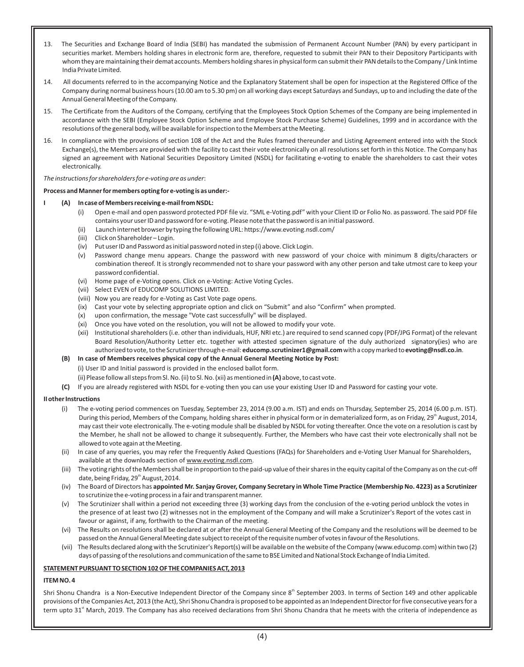- 13. The Securities and Exchange Board of India (SEBI) has mandated the submission of Permanent Account Number (PAN) by every participant in securities market. Members holding shares in electronic form are, therefore, requested to submit their PAN to their Depository Participants with whom they are maintaining their demat accounts. Members holding shares in physical form can submit their PAN details to the Company / Link Intime India Private Limited.
- 14. All documents referred to in the accompanying Notice and the Explanatory Statement shall be open for inspection at the Registered Office of the Company during normal business hours (10.00 am to 5.30 pm) on all working days except Saturdays and Sundays, up to and including the date of the Annual General Meeting of the Company.
- 15. The Certificate from the Auditors of the Company, certifying that the Employees Stock Option Schemes of the Company are being implemented in accordance with the SEBI (Employee Stock Option Scheme and Employee Stock Purchase Scheme) Guidelines, 1999 and in accordance with the resolutions of the general body, will be available for inspection to the Members at the Meeting.
- 16. In compliance with the provisions of section 108 of the Act and the Rules framed thereunder and Listing Agreement entered into with the Stock Exchange(s), the Members are provided with the facility to cast their vote electronically on all resolutions set forth in this Notice. The Company has signed an agreement with National Securities Depository Limited (NSDL) for facilitating e-voting to enable the shareholders to cast their votes electronically.

### *The instructions for shareholders for e-voting are as under*:

### **Process and Manner for members opting for e-voting is as under:-**

### **I (A) In case of Members receiving e-mail from NSDL:**

- (i) Open e-mail and open password protected PDF file viz. "SML e-Voting.pdf" with your Client ID or Folio No. as password. The said PDF file contains your user ID and password for e-voting. Please note that the password is an initial password.
- (ii) Launch internet browser by typing the following URL: https://www.evoting.nsdl.com/
- (iii) Click on Shareholder Login.
- (iv) Put user ID and Password as initial password noted in step (i) above. Click Login.
- (v) Password change menu appears. Change the password with new password of your choice with minimum 8 digits/characters or combination thereof. It is strongly recommended not to share your password with any other person and take utmost care to keep your password confidential.
- (vi) Home page of e-Voting opens. Click on e-Voting: Active Voting Cycles.
- (vii) Select EVEN of EDUCOMP SOLUTIONS LIMITED.
- (viii) Now you are ready for e-Voting as Cast Vote page opens.
- (ix) Cast your vote by selecting appropriate option and click on "Submit" and also "Confirm" when prompted.
- (x) upon confirmation, the message "Vote cast successfully" will be displayed.
- (xi) Once you have voted on the resolution, you will not be allowed to modify your vote.
- (xii) Institutional shareholders (i.e. other than individuals, HUF, NRI etc.) are required to send scanned copy (PDF/JPG Format) of the relevant Board Resolution/Authority Letter etc. together with attested specimen signature of the duly authorized signatory(ies) who are authorized to vote, to the Scrutinizer through e-mail: **educomp.scrutinizer1@gmail.com** with a copy marked to **evoting@nsdl.co.in**.

### **(B) In case of Members receives physical copy of the Annual General Meeting Notice by Post:**

- (i) User ID and Initial password is provided in the enclosed ballot form.
- (ii) Please follow all steps from Sl. No. (ii) to Sl. No. (xii) as mentioned in **(A)** above, to cast vote.
- **(C)** If you are already registered with NSDL for e-voting then you can use your existing User ID and Password for casting your vote.

### **II other Instructions**

- (i) The e-voting period commences on Tuesday, September 23, 2014 (9.00 a.m. IST) and ends on Thursday, September 25, 2014 (6.00 p.m. IST). During this period, Members of the Company, holding shares either in physical form or in dematerialized form, as on Friday, 29<sup>th</sup> August, 2014, may cast their vote electronically. The e-voting module shall be disabled by NSDL for voting thereafter. Once the vote on a resolution is cast by the Member, he shall not be allowed to change it subsequently. Further, the Members who have cast their vote electronically shall not be allowed to vote again at the Meeting.
- (ii) In case of any queries, you may refer the Frequently Asked Questions (FAQs) for Shareholders and e-Voting User Manual for Shareholders, available at the downloads section of www.evoting.nsdl.com.
- (iii) The voting rights of the Members shall be in proportion to the paid-up value of their shares in the equity capital of the Company as on the cut-off date, being Friday, 29<sup>th</sup> August, 2014.
- (iv) The Board of Directors has **appointed Mr. Sanjay Grover, Company Secretary in Whole Time Practice (Membership No. 4223) as a Scrutinizer**  to scrutinize the e-voting process in a fair and transparent manner.
- (v) The Scrutinizer shall within a period not exceeding three (3) working days from the conclusion of the e-voting period unblock the votes in the presence of at least two (2) witnesses not in the employment of the Company and will make a Scrutinizer's Report of the votes cast in favour or against, if any, forthwith to the Chairman of the meeting.
- (vi) The Results on resolutions shall be declared at or after the Annual General Meeting of the Company and the resolutions will be deemed to be passed on the Annual General Meeting date subject to receipt of the requisite number of votes in favour of the Resolutions.
- (vii) The Results declared along with the Scrutinizer's Report(s) will be available on the website of the Company (www.educomp.com) within two (2) days of passing of the resolutions and communication of the same to BSE Limited and National Stock Exchange of India Limited.

### **STATEMENT PURSUANT TO SECTION 102 OF THE COMPANIES ACT, 2013**

# **ITEM NO. 4**

Shri Shonu Chandra is a Non-Executive Independent Director of the Company since 8<sup>th</sup> September 2003. In terms of Section 149 and other applicable provisions of the Companies Act, 2013 (the Act), Shri Shonu Chandra is proposed to be appointed as an Independent Director for five consecutive years for a term upto 31<sup>st</sup> March, 2019. The Company has also received declarations from Shri Shonu Chandra that he meets with the criteria of independence as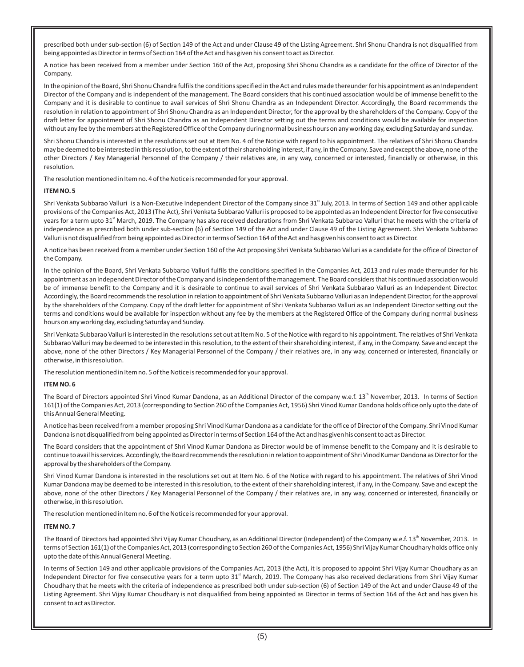prescribed both under sub-section (6) of Section 149 of the Act and under Clause 49 of the Listing Agreement. Shri Shonu Chandra is not disqualified from being appointed as Director in terms of Section 164 of the Act and has given his consent to act as Director.

A notice has been received from a member under Section 160 of the Act, proposing Shri Shonu Chandra as a candidate for the office of Director of the Company.

In the opinion of the Board, Shri Shonu Chandra fulfils the conditions specified in the Act and rules made thereunder for his appointment as an Independent Director of the Company and is independent of the management. The Board considers that his continued association would be of immense benefit to the Company and it is desirable to continue to avail services of Shri Shonu Chandra as an Independent Director. Accordingly, the Board recommends the resolution in relation to appointment of Shri Shonu Chandra as an Independent Director, for the approval by the shareholders of the Company. Copy of the draft letter for appointment of Shri Shonu Chandra as an Independent Director setting out the terms and conditions would be available for inspection without any fee by the members at the Registered Office of the Company during normal business hours on any working day, excluding Saturday and sunday.

Shri Shonu Chandra is interested in the resolutions set out at Item No. 4 of the Notice with regard to his appointment. The relatives of Shri Shonu Chandra may be deemed to be interested in this resolution, to the extent of their shareholding interest, if any, in the Company. Save and except the above, none of the other Directors / Key Managerial Personnel of the Company / their relatives are, in any way, concerned or interested, financially or otherwise, in this resolution.

The resolution mentioned in Item no. 4 of the Notice is recommended for your approval.

### **ITEM NO. 5**

Shri Venkata Subbarao Valluri is a Non-Executive Independent Director of the Company since 31<sup>st</sup> July, 2013. In terms of Section 149 and other applicable provisions of the Companies Act, 2013 (The Act), Shri Venkata Subbarao Valluri is proposed to be appointed as an Independent Director for five consecutive years for a term upto 31<sup>st</sup> March, 2019. The Company has also received declarations from Shri Venkata Subbarao Valluri that he meets with the criteria of independence as prescribed both under sub-section (6) of Section 149 of the Act and under Clause 49 of the Listing Agreement. Shri Venkata Subbarao Valluri is not disqualified from being appointed as Director in terms of Section 164 of the Act and has given his consent to act as Director.

A notice has been received from a member under Section 160 of the Act proposing Shri Venkata Subbarao Valluri as a candidate for the office of Director of the Company.

In the opinion of the Board, Shri Venkata Subbarao Valluri fulfils the conditions specified in the Companies Act, 2013 and rules made thereunder for his appointment as an Independent Director of the Company and is independent of the management. The Board considers that his continued association would be of immense benefit to the Company and it is desirable to continue to avail services of Shri Venkata Subbarao Valluri as an Independent Director. Accordingly, the Board recommends the resolution in relation to appointment of Shri Venkata Subbarao Valluri as an Independent Director, for the approval by the shareholders of the Company. Copy of the draft letter for appointment of Shri Venkata Subbarao Valluri as an Independent Director setting out the terms and conditions would be available for inspection without any fee by the members at the Registered Office of the Company during normal business hours on any working day, excluding Saturday and Sunday.

Shri Venkata Subbarao Valluri is interested in the resolutions set out at Item No. 5 of the Notice with regard to his appointment. The relatives of Shri Venkata Subbarao Valluri may be deemed to be interested in this resolution, to the extent of their shareholding interest, if any, in the Company. Save and except the above, none of the other Directors / Key Managerial Personnel of the Company / their relatives are, in any way, concerned or interested, financially or otherwise, in this resolution.

The resolution mentioned in Item no. 5 of the Notice is recommended for your approval.

### **ITEM NO. 6**

The Board of Directors appointed Shri Vinod Kumar Dandona, as an Additional Director of the company w.e.f. 13<sup>th</sup> November, 2013. In terms of Section 161(1) of the Companies Act, 2013 (corresponding to Section 260 of the Companies Act, 1956) Shri Vinod Kumar Dandona holds office only upto the date of this Annual General Meeting.

A notice has been received from a member proposing Shri Vinod Kumar Dandona as a candidate for the office of Director of the Company. Shri Vinod Kumar Dandona is not disqualified from being appointed as Director in terms of Section 164 of the Act and has given his consent to act as Director.

The Board considers that the appointment of Shri Vinod Kumar Dandona as Director would be of immense benefit to the Company and it is desirable to continue to avail his services. Accordingly, the Board recommends the resolution in relation to appointment of Shri Vinod Kumar Dandona as Director for the approval by the shareholders of the Company.

Shri Vinod Kumar Dandona is interested in the resolutions set out at Item No. 6 of the Notice with regard to his appointment. The relatives of Shri Vinod Kumar Dandona may be deemed to be interested in this resolution, to the extent of their shareholding interest, if any, in the Company. Save and except the above, none of the other Directors / Key Managerial Personnel of the Company / their relatives are, in any way, concerned or interested, financially or otherwise, in this resolution.

The resolution mentioned in Item no. 6 of the Notice is recommended for your approval.

### **ITEM NO. 7**

The Board of Directors had appointed Shri Vijay Kumar Choudhary, as an Additional Director (Independent) of the Company w.e.f. 13<sup>th</sup> November, 2013. In terms of Section 161(1) of the Companies Act, 2013 (corresponding to Section 260 of the Companies Act, 1956) Shri Vijay Kumar Choudhary holds office only upto the date of this Annual General Meeting.

In terms of Section 149 and other applicable provisions of the Companies Act, 2013 (the Act), it is proposed to appoint Shri Vijay Kumar Choudhary as an Independent Director for five consecutive years for a term upto  $31<sup>st</sup>$  March, 2019. The Company has also received declarations from Shri Vijay Kumar Choudhary that he meets with the criteria of independence as prescribed both under sub-section (6) of Section 149 of the Act and under Clause 49 of the Listing Agreement. Shri Vijay Kumar Choudhary is not disqualified from being appointed as Director in terms of Section 164 of the Act and has given his consent to act as Director.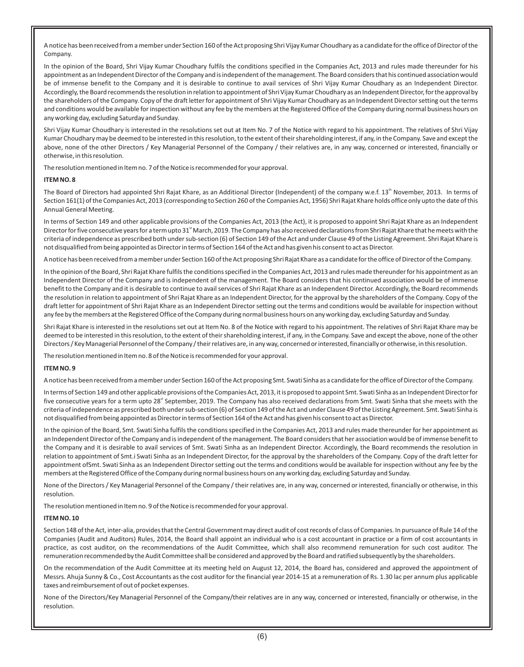A notice has been received from a member under Section 160 of the Act proposing Shri Vijay Kumar Choudhary as a candidate for the office of Director of the Company.

In the opinion of the Board, Shri Vijay Kumar Choudhary fulfils the conditions specified in the Companies Act, 2013 and rules made thereunder for his appointment as an Independent Director of the Company and is independent of the management. The Board considers that his continued association would be of immense benefit to the Company and it is desirable to continue to avail services of Shri Vijay Kumar Choudhary as an Independent Director. Accordingly, the Board recommends the resolution in relation to appointment of Shri Vijay Kumar Choudhary as an Independent Director, for the approval by the shareholders of the Company. Copy of the draft letter for appointment of Shri Vijay Kumar Choudhary as an Independent Director setting out the terms and conditions would be available for inspection without any fee by the members at the Registered Office of the Company during normal business hours on any working day, excluding Saturday and Sunday.

Shri Vijay Kumar Choudhary is interested in the resolutions set out at Item No. 7 of the Notice with regard to his appointment. The relatives of Shri Vijay Kumar Choudhary may be deemed to be interested in this resolution, to the extent of their shareholding interest, if any, in the Company. Save and except the above, none of the other Directors / Key Managerial Personnel of the Company / their relatives are, in any way, concerned or interested, financially or otherwise, in this resolution.

The resolution mentioned in Item no. 7 of the Notice is recommended for your approval.

### **ITEM NO. 8**

The Board of Directors had appointed Shri Rajat Khare, as an Additional Director (Independent) of the company w.e.f. 13<sup>th</sup> November, 2013. In terms of Section 161(1) of the Companies Act, 2013 (corresponding to Section 260 of the Companies Act, 1956) Shri Rajat Khare holds office only upto the date of this Annual General Meeting.

In terms of Section 149 and other applicable provisions of the Companies Act, 2013 (the Act), it is proposed to appoint Shri Rajat Khare as an Independent Director for five consecutive years for a term upto 31<sup>"</sup> March, 2019. The Company has also received declarations from Shri Rajat Khare that he meets with the criteria of independence as prescribed both under sub-section (6) of Section 149 of the Act and under Clause 49 of the Listing Agreement. Shri Rajat Khare is not disqualified from being appointed as Director in terms of Section 164 of the Act and has given his consent to act as Director.

A notice has been received from a member under Section 160 of the Act proposing Shri Rajat Khare as a candidate for the office of Director of the Company.

In the opinion of the Board, Shri Rajat Khare fulfils the conditions specified in the Companies Act, 2013 and rules made thereunder for his appointment as an Independent Director of the Company and is independent of the management. The Board considers that his continued association would be of immense benefit to the Company and it is desirable to continue to avail services of Shri Rajat Khare as an Independent Director. Accordingly, the Board recommends the resolution in relation to appointment of Shri Rajat Khare as an Independent Director, for the approval by the shareholders of the Company. Copy of the draft letter for appointment of Shri Rajat Khare as an Independent Director setting out the terms and conditions would be available for inspection without any fee by the members at the Registered Office of the Company during normal business hours on any working day, excluding Saturday and Sunday.

Shri Rajat Khare is interested in the resolutions set out at Item No. 8 of the Notice with regard to his appointment. The relatives of Shri Rajat Khare may be deemed to be interested in this resolution, to the extent of their shareholding interest, if any, in the Company. Save and except the above, none of the other Directors / Key Managerial Personnel of the Company / their relatives are, in any way, concerned or interested, financially or otherwise, in this resolution.

The resolution mentioned in Item no. 8 of the Notice is recommended for your approval.

#### **ITEM NO. 9**

A notice has been received from a member under Section 160 of the Act proposing Smt. Swati Sinha as a candidate for the office of Director of the Company.

In terms of Section 149 and other applicable provisions of the Companies Act, 2013, it is proposed to appoint Smt. Swati Sinha as an Independent Director for five consecutive years for a term upto 28<sup>"</sup> September, 2019. The Company has also received declarations from Smt. Swati Sinha that she meets with the criteria of independence as prescribed both under sub-section (6) of Section 149 of the Act and under Clause 49 of the Listing Agreement. Smt. Swati Sinha is not disqualified from being appointed as Director in terms of Section 164 of the Act and has given his consent to act as Director.

In the opinion of the Board, Smt. Swati Sinha fulfils the conditions specified in the Companies Act, 2013 and rules made thereunder for her appointment as an Independent Director of the Company and is independent of the management. The Board considers that her association would be of immense benefit to the Company and it is desirable to avail services of Smt. Swati Sinha as an Independent Director. Accordingly, the Board recommends the resolution in relation to appointment of Smt.i Swati Sinha as an Independent Director, for the approval by the shareholders of the Company. Copy of the draft letter for appointment ofSmt. Swati Sinha as an Independent Director setting out the terms and conditions would be available for inspection without any fee by the members at the Registered Office of the Company during normal business hours on any working day, excluding Saturday and Sunday.

None of the Directors / Key Managerial Personnel of the Company / their relatives are, in any way, concerned or interested, financially or otherwise, in this resolution.

The resolution mentioned in Item no. 9 of the Notice is recommended for your approval.

#### **ITEM NO. 10**

Section 148 of the Act, inter-alia, provides that the Central Government may direct audit of cost records of class of Companies. In pursuance of Rule 14 of the Companies (Audit and Auditors) Rules, 2014, the Board shall appoint an individual who is a cost accountant in practice or a firm of cost accountants in practice, as cost auditor, on the recommendations of the Audit Committee, which shall also recommend remuneration for such cost auditor. The remuneration recommended by the Audit Committee shall be considered and approved by the Board and ratified subsequently by the shareholders.

On the recommendation of the Audit Committee at its meeting held on August 12, 2014, the Board has, considered and approved the appointment of Messrs. Ahuja Sunny & Co., Cost Accountants as the cost auditor for the financial year 2014-15 at a remuneration of Rs. 1.30 lac per annum plus applicable taxes and reimbursement of out of pocket expenses.

None of the Directors/Key Managerial Personnel of the Company/their relatives are in any way, concerned or interested, financially or otherwise, in the resolution.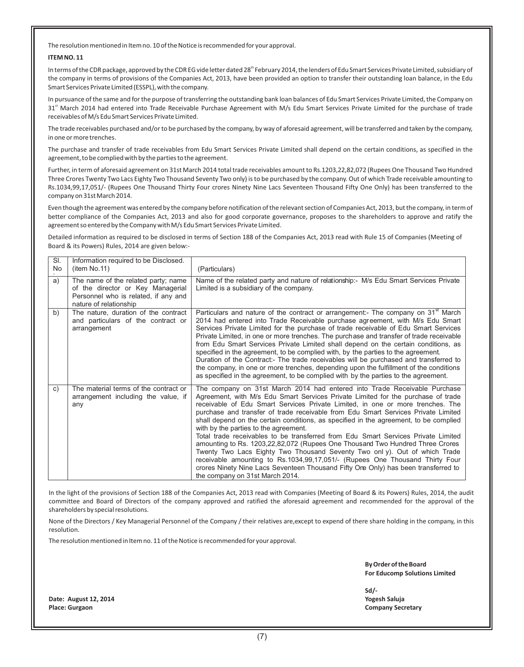The resolution mentioned in Item no. 10 of the Notice is recommended for your approval.

#### **ITEM NO. 11**

In terms of the CDR package, approved by the CDR EG vide letter dated 28<sup>th</sup> February 2014, the lenders of Edu Smart Services Private Limited, subsidiary of the company in terms of provisions of the Companies Act, 2013, have been provided an option to transfer their outstanding loan balance, in the Edu Smart Services Private Limited (ESSPL), with the company.

In pursuance of the same and for the purpose of transferring the outstanding bank loan balances of Edu Smart Services Private Limited, the Company on 31<sup>st</sup> March 2014 had entered into Trade Receivable Purchase Agreement with M/s Edu Smart Services Private Limited for the purchase of trade receivables of M/s Edu Smart Services Private Limited.

The trade receivables purchased and/or to be purchased by the company, by way of aforesaid agreement, will be transferred and taken by the company, in one or more trenches.

The purchase and transfer of trade receivables from Edu Smart Services Private Limited shall depend on the certain conditions, as specified in the agreement, to be complied with by the parties to the agreement.

Further, in term of aforesaid agreement on 31st March 2014 total trade receivables amount to Rs.1203,22,82,072 (Rupees One Thousand Two Hundred Three Crores Twenty Two Lacs Eighty Two Thousand Seventy Two only) is to be purchased by the company. Out of which Trade receivable amounting to Rs.1034,99,17,051/- (Rupees One Thousand Thirty Four crores Ninety Nine Lacs Seventeen Thousand Fifty One Only) has been transferred to the company on 31st March 2014.

Even though the agreement was entered by the company before notification of the relevant section of Companies Act, 2013, but the company, in term of better compliance of the Companies Act, 2013 and also for good corporate governance, proposes to the shareholders to approve and ratify the agreement so entered by the Company with M/s Edu Smart Services Private Limited.

Detailed information as required to be disclosed in terms of Section 188 of the Companies Act, 2013 read with Rule 15 of Companies (Meeting of Board & its Powers) Rules, 2014 are given below:-

| SI.<br>No | Information required to be Disclosed.<br>(item No.11)                                                                                      | (Particulars)                                                                                                                                                                                                                                                                                                                                                                                                                                                                                                                                                                                                                                                                                                                                                                                                                                                                                                                         |
|-----------|--------------------------------------------------------------------------------------------------------------------------------------------|---------------------------------------------------------------------------------------------------------------------------------------------------------------------------------------------------------------------------------------------------------------------------------------------------------------------------------------------------------------------------------------------------------------------------------------------------------------------------------------------------------------------------------------------------------------------------------------------------------------------------------------------------------------------------------------------------------------------------------------------------------------------------------------------------------------------------------------------------------------------------------------------------------------------------------------|
| a)        | The name of the related party; name<br>of the director or Key Managerial<br>Personnel who is related, if any and<br>nature of relationship | Name of the related party and nature of relationship:- M/s Edu Smart Services Private<br>Limited is a subsidiary of the company.                                                                                                                                                                                                                                                                                                                                                                                                                                                                                                                                                                                                                                                                                                                                                                                                      |
| b)        | The nature, duration of the contract<br>and particulars of the contract or<br>arrangement                                                  | Particulars and nature of the contract or arrangement:- The company on 31 <sup>st</sup> March<br>2014 had entered into Trade Receivable purchase agreement, with M/s Edu Smart<br>Services Private Limited for the purchase of trade receivable of Edu Smart Services<br>Private Limited, in one or more trenches. The purchase and transfer of trade receivable<br>from Edu Smart Services Private Limited shall depend on the certain conditions, as<br>specified in the agreement, to be complied with, by the parties to the agreement.<br>Duration of the Contract:- The trade receivables will be purchased and transferred to<br>the company, in one or more trenches, depending upon the fulfillment of the conditions<br>as specified in the agreement, to be complied with by the parties to the agreement.                                                                                                                 |
| C)        | The material terms of the contract or<br>arrangement including the value, if<br>any                                                        | The company on 31st March 2014 had entered into Trade Receivable Purchase<br>Agreement, with M/s Edu Smart Services Private Limited for the purchase of trade<br>receivable of Edu Smart Services Private Limited, in one or more trenches. The<br>purchase and transfer of trade receivable from Edu Smart Services Private Limited<br>shall depend on the certain conditions, as specified in the agreement, to be complied<br>with by the parties to the agreement.<br>Total trade receivables to be transferred from Edu Smart Services Private Limited<br>amounting to Rs. 1203, 22, 82, 072 (Rupees One Thousand Two Hundred Three Crores<br>Twenty Two Lacs Eighty Two Thousand Seventy Two only). Out of which Trade<br>receivable amounting to Rs.1034,99,17,051/- (Rupees One Thousand Thirty Four<br>crores Ninety Nine Lacs Seventeen Thousand Fifty Ore Only) has been transferred to<br>the company on 31st March 2014. |

In the light of the provisions of Section 188 of the Companies Act, 2013 read with Companies (Meeting of Board & its Powers) Rules, 2014, the audit committee and Board of Directors of the company approved and ratified the aforesaid agreement and recommended for the approval of the shareholders by special resolutions.

None of the Directors / Key Managerial Personnel of the Company / their relatives are,except to expend of there share holding in the company, in this resolution.

The resolution mentioned in Item no. 11 of the Notice is recommended for your approval.

**By Order of the Board For Educomp Solutions Limited**

**Sd/-**

**Date: August 12, 2014 Yogesh Saluja Place: Gurgaon Company Secretary**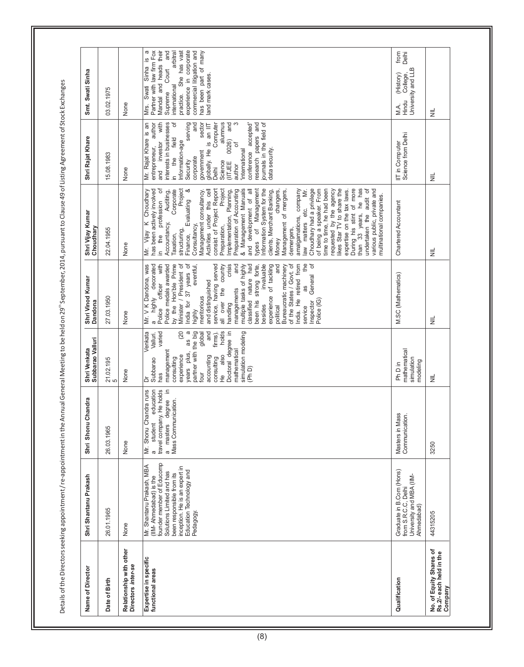Details of the Directors seeking appointment / re-appointment in the Annual General Meeting to be held on 29" September, 2014, pursuant to Clause 49 of Listing Agreement of Stock Exchanges Details of the Directors seeking appointment in the Annual General Meeting to be held on 29" September, 2014, pursuant to Clause 49 of Listing Agreement of Stock Exchanges

| Name of Director                                              | Shri Shantanu Prakash                                                                                                                                                                                                | Shri Shonu Chandra                                                                                                                                      | Subbarao Valluri<br>Shri Venkata                                                                                                                                                                                                                                                                                                    | Shri Vinod Kumar<br>Dandona                                                                                                                                                                                                                                                                                                                                                                                                                                                                                                                                                                                                                                                        | Shri Vijay Kumar<br>Choudhary                                                                                                                                                                                                                                                                                                                                                                                                                                                                                                                                                                                                                                                                                                                                                                                                                                                                                                                                                              | Shri Rajat Khare                                                                                                                                                                                                                                                                                                                                                                                                                                                                        | Smt. Swati Sinha                                                                                                                                                                                                                                                          |
|---------------------------------------------------------------|----------------------------------------------------------------------------------------------------------------------------------------------------------------------------------------------------------------------|---------------------------------------------------------------------------------------------------------------------------------------------------------|-------------------------------------------------------------------------------------------------------------------------------------------------------------------------------------------------------------------------------------------------------------------------------------------------------------------------------------|------------------------------------------------------------------------------------------------------------------------------------------------------------------------------------------------------------------------------------------------------------------------------------------------------------------------------------------------------------------------------------------------------------------------------------------------------------------------------------------------------------------------------------------------------------------------------------------------------------------------------------------------------------------------------------|--------------------------------------------------------------------------------------------------------------------------------------------------------------------------------------------------------------------------------------------------------------------------------------------------------------------------------------------------------------------------------------------------------------------------------------------------------------------------------------------------------------------------------------------------------------------------------------------------------------------------------------------------------------------------------------------------------------------------------------------------------------------------------------------------------------------------------------------------------------------------------------------------------------------------------------------------------------------------------------------|-----------------------------------------------------------------------------------------------------------------------------------------------------------------------------------------------------------------------------------------------------------------------------------------------------------------------------------------------------------------------------------------------------------------------------------------------------------------------------------------|---------------------------------------------------------------------------------------------------------------------------------------------------------------------------------------------------------------------------------------------------------------------------|
| Date of Birth                                                 | 26.01.1965                                                                                                                                                                                                           | 26.03.1965                                                                                                                                              | 21.02.195<br>5                                                                                                                                                                                                                                                                                                                      | 27.03.1950                                                                                                                                                                                                                                                                                                                                                                                                                                                                                                                                                                                                                                                                         | 22.04.1955                                                                                                                                                                                                                                                                                                                                                                                                                                                                                                                                                                                                                                                                                                                                                                                                                                                                                                                                                                                 | 15.08.1983                                                                                                                                                                                                                                                                                                                                                                                                                                                                              | 03.02.1975                                                                                                                                                                                                                                                                |
| Relationship with other<br>Directors inter-se                 | None                                                                                                                                                                                                                 | None                                                                                                                                                    | None                                                                                                                                                                                                                                                                                                                                | None                                                                                                                                                                                                                                                                                                                                                                                                                                                                                                                                                                                                                                                                               | None                                                                                                                                                                                                                                                                                                                                                                                                                                                                                                                                                                                                                                                                                                                                                                                                                                                                                                                                                                                       | None                                                                                                                                                                                                                                                                                                                                                                                                                                                                                    | None                                                                                                                                                                                                                                                                      |
| Expertise in specific<br>functional areas                     | founder member of Educomp<br>Mr. Shantanu Prakash, MBA<br>inception. He is an expert in<br>Education Technology and<br>Solutions Limited and has<br>been responsible from its<br>(IIM-Ahmedabad) is the<br>Pedagogy. | Mr. Shonu Chandra runs<br>education<br>travel company. He holds<br>크.<br>masters degree<br>Mass Communication.<br>student<br>$\mathfrak{g}$<br>$\sigma$ | varied<br>years plus, as a<br>partner with the big<br>global<br>and<br>firms).<br>holds<br><b>Jenkata</b><br>(20)<br>Doctoral degree in<br>simulation modeling<br>Valluri.<br>mathematical<br>management<br>also<br>experience<br>accounting<br>consulting<br>Subbarao<br>consulting<br>(Ph D)<br>has<br>four<br><u><br/>ቶ</u><br>ð | by the Hon'ble Prime<br>$\mathbb{H}$<br>$\sigma$<br>decorated<br>Police medals awarded<br>Minister / President of<br>India for 37 years of<br>service, having served<br>invaluable<br>He retired from<br>Mr. V K Dandona, was<br>with<br>crisis<br>and<br>multiple tasks of highly<br>classified nature had<br>experience of tackling<br>and<br>of the States / Govt. of<br>eventful,<br>country<br>been his strong forte,<br>Bureaucratic machinery<br>General<br>and distinguished<br>officer<br>8g<br>managements<br>all over the<br>meritorious<br>highly<br>Police (IG)<br>Inspector<br>handling<br>besides<br>service<br>political<br>Police<br>highly<br>India.<br>$\sigma$ | During his stint of more<br>than 33 years, he has<br>ð<br>Corporate<br>Project<br>consist of Project Report<br>& Management Manuals<br>Information System for the<br>Choudhary had a privilege<br>of being a speaker. From<br>time to time, he had been<br>requested by the agency<br>likes Star TV to share the<br>undertaken the audit of<br>various public, private and<br>Vijay K Choudhary<br>has been actively involved<br>Auditing,<br>ళ<br>Activities under this cell<br>Project<br>Management<br>amalgamations, company<br>ΣÉ.<br>Preparation of Accounting<br>and development of all<br>clients, Merchant Banking,<br>changers,<br>expertise on the tax laws.<br>Implementation, Planning,<br>Management of mergers,<br>Management consultancy<br>multinational companies.<br>Evaluating<br>profession<br>etc.<br>law matters<br>Accountancy,<br>Consultancy,<br>Preparation,<br>types of<br>structuring,<br>demergers,<br>the<br>Finance,<br>Taxation,<br>Money<br>ξ<br>_<br>⊒. | alumnus<br>S<br>accepted'<br>research papers and<br>journals in the field of<br>Mr. Rajat Khare is an<br>investor with<br>interests in businesses<br>đ<br>serving<br>sector<br>and<br>author<br>and<br>Computer<br>$\frac{1}{10}$ an $\frac{1}{10}$<br>field<br>0026)<br>of<br>Information-age<br>entrepreneur,<br>data security.<br>globally. He<br>intemational<br>conference<br>government<br>corporate<br>the<br>Science<br>Security<br>(IITJEE<br>author<br>Delhi<br>and<br>ءِ<br> | experience in corporate<br>σ<br>Partner with law firm Fox<br>Mandal and heads their<br>and<br>arbitral<br>She has vast<br>commercial litigation and<br>has been part of many<br>Mrs. Swati Sinha is<br>Court<br>land mark cases.<br>international<br>Supreme<br>practice. |
| Qualification                                                 | Graduate in B.Com (Hons)<br>University and MBA (IIM-<br>from S.R.C.C, Delhi<br>Ahmedabad)                                                                                                                            | Masters in Mass<br>Communication.                                                                                                                       | mathematical<br>simulation<br>modeling<br>Ph D in                                                                                                                                                                                                                                                                                   | M.SC (Mathematics)                                                                                                                                                                                                                                                                                                                                                                                                                                                                                                                                                                                                                                                                 | Chartered Accountant                                                                                                                                                                                                                                                                                                                                                                                                                                                                                                                                                                                                                                                                                                                                                                                                                                                                                                                                                                       | IIT in Computer<br>Science from Delhi                                                                                                                                                                                                                                                                                                                                                                                                                                                   | from<br>Delhi<br>University and LLB<br>(History)<br>College,<br>Hindu<br>MA.                                                                                                                                                                                              |
| No. of Equity Shares of<br>Rs.2/- each held in the<br>Company | 44315205                                                                                                                                                                                                             | 3250                                                                                                                                                    | $\equiv$                                                                                                                                                                                                                                                                                                                            | $\equiv$                                                                                                                                                                                                                                                                                                                                                                                                                                                                                                                                                                                                                                                                           | $\equiv$                                                                                                                                                                                                                                                                                                                                                                                                                                                                                                                                                                                                                                                                                                                                                                                                                                                                                                                                                                                   | $\equiv$                                                                                                                                                                                                                                                                                                                                                                                                                                                                                | $\equiv$                                                                                                                                                                                                                                                                  |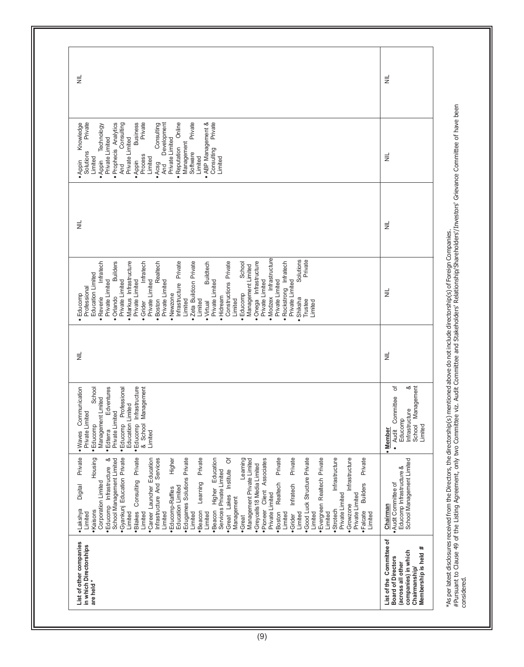| List of other companies<br>in which Directorships<br>are held*                                                                               | · Gyankunj Education Private<br>Consulting Private<br>Private<br>Private<br>Private<br>· Evergreen Realtech Private<br>Infrastructure<br>Infrastructure<br>Housing<br>ళ<br>Higher<br>· Edugames Solutions Private<br>Learning Private<br>ð<br>· Good Luck Structure Private<br>Private<br>•Career Launcher Education<br>Education<br>Learning<br>Client Associates<br>Infrastructure And Services<br>Management Private Limited<br>School Management Limited<br>· Greycells 18 Media Limited<br>. Educomp Infrastructure<br>·Great Lakes Institute<br>Services Private Limited<br>Realtech<br>Corporation Limited<br><b>Builders</b><br>Infratech<br>Digital<br>Education Limited<br>Higher<br>· Educomp-Raffles<br>Private Limited<br>Private Limited<br>Private Limited<br>Management<br>· Growzone<br>·Pioneer<br>·Beacon<br>·Strotech<br>• Lakshya<br>•Kaisons<br>·Bilakes<br>·Beacon<br>·Boston<br>•Falcate<br>Limited<br>Limited<br>Limited<br>Limited<br>Limited<br>Limited<br>Limited<br>Limited<br>Limited<br>Limited<br>Limited<br>·Grider<br>•Great | · Educomp Infrastructure<br>Communication<br>School<br>Edventures<br>& School Management<br>Professional<br>Management Lmited<br>Education Limited<br>Private Limited<br>Private Limited<br>· Educomp<br>· Educomp<br>$•$ Edterra<br>Limited<br>• Waves | Ë | • Modzex Infrastructure<br>Solutions<br>Private<br>· Markus Infrastructure<br>Realtech<br>Infrastructure Private<br>· Zeta Buildoon Private<br>Constructions Private<br>· Onega Infrastructure<br>Infratech<br>Infratech<br><b>Builders</b><br><b>Buildtech</b><br>Infratech<br>School<br>Management Limited<br>Education Limited<br>Private Limited<br>Private Limited<br>Private Limited<br>Private Limited<br>Private Limited<br>Private Limited<br>Private Limited<br>Private Limited<br>Private Limited<br>Rockstrong<br>Professional<br>· Educomp<br>Educomp<br>· Newzone<br>· Orlando<br>· Hidream<br>Reverie<br>Shiksha<br>· Boston<br>Limited<br>Limited<br>Limited<br>Trustee<br>Limited<br>· Grider<br>· Virtual | $\equiv$ | Private<br>Private<br>Private<br>Private<br>. ABP Management &<br>Knowledge<br>Online<br>· Prophecis Analytics<br>Consulting<br><b>Business</b><br>Consulting<br>Development<br>Technology<br>Private Limited<br>Private Limited<br>Private Limited<br>Management<br>Reputation<br>Consulting<br>Solutions<br>Software<br>Process<br>Limited<br>Limited<br>Limited<br>Limited<br>· Appin<br>· Appin<br>Appin<br>· Acsg<br>And<br>And | $\equiv$ |  |
|----------------------------------------------------------------------------------------------------------------------------------------------|----------------------------------------------------------------------------------------------------------------------------------------------------------------------------------------------------------------------------------------------------------------------------------------------------------------------------------------------------------------------------------------------------------------------------------------------------------------------------------------------------------------------------------------------------------------------------------------------------------------------------------------------------------------------------------------------------------------------------------------------------------------------------------------------------------------------------------------------------------------------------------------------------------------------------------------------------------------------------------------------------------------------------------------------------------------|---------------------------------------------------------------------------------------------------------------------------------------------------------------------------------------------------------------------------------------------------------|---|-----------------------------------------------------------------------------------------------------------------------------------------------------------------------------------------------------------------------------------------------------------------------------------------------------------------------------------------------------------------------------------------------------------------------------------------------------------------------------------------------------------------------------------------------------------------------------------------------------------------------------------------------------------------------------------------------------------------------------|----------|--------------------------------------------------------------------------------------------------------------------------------------------------------------------------------------------------------------------------------------------------------------------------------------------------------------------------------------------------------------------------------------------------------------------------------------|----------|--|
| List of the Committee of<br>#<br>companies) in which<br>Membership is held<br><b>Board of Directors</b><br>across all other<br>Chairmanship/ | School Management Limited<br>Educomp Infrastructure &<br>. Audit Committee of<br>Chairman                                                                                                                                                                                                                                                                                                                                                                                                                                                                                                                                                                                                                                                                                                                                                                                                                                                                                                                                                                      | య<br>৳<br>Management<br>· Audit Committee<br>Infrastructure<br>Educomp<br>School<br>Limited<br><b>Member</b>                                                                                                                                            | ž | $\equiv$                                                                                                                                                                                                                                                                                                                                                                                                                                                                                                                                                                                                                                                                                                                    | $\equiv$ | ž                                                                                                                                                                                                                                                                                                                                                                                                                                    | ž        |  |

#Pursuant to Clause 49 of the Listing Agreement, only two Committee viz. Audit Committee and Stakeholders' Relationship/Shareholders'/Investors' Grievance Committee of have been considered.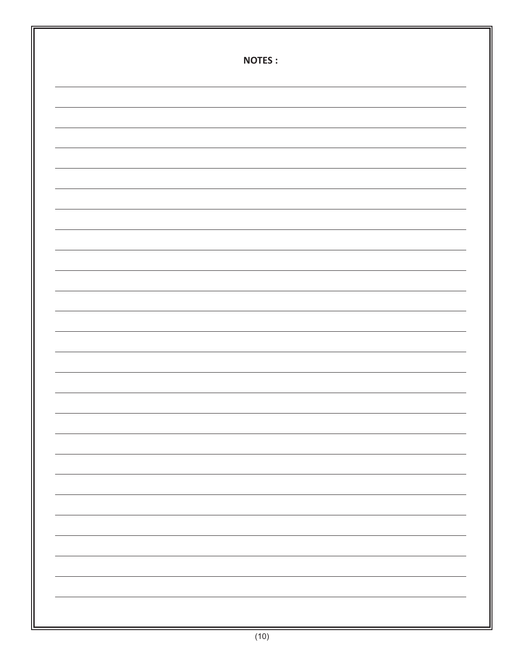| <b>NOTES:</b> |
|---------------|
|               |
|               |
|               |
|               |
|               |
|               |
|               |
|               |
|               |
|               |
|               |
|               |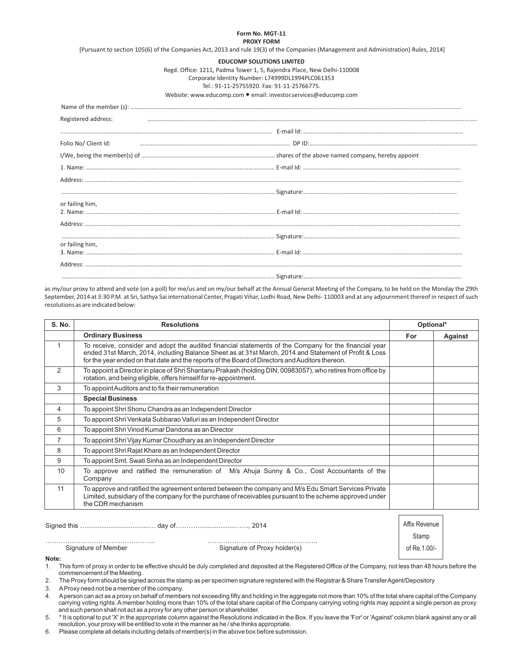#### **Form No. MGT-11 PROXY FORM**

[Pursuant to section 105(6) of the Companies Act, 2013 and rule 19(3) of the Companies (Management and Administration) Rules, 2014]

### **EDUCOMP SOLUTIONS LIMITED**

Regd. Office: 1211, Padma Tower 1, 5, Rajendra Place, New Delhi-110008

Corporate Identity Number: L74999DL1994PLC061353

Tel.: 91-11-25755920. Fax: 91-11-25766775.

Website: www.educomp.com ● email: investor.services@educomp.com

| Registered address:  |  |
|----------------------|--|
|                      |  |
| Folio No/ Client Id: |  |
|                      |  |
|                      |  |
|                      |  |
|                      |  |
| or failing him,      |  |
|                      |  |
|                      |  |
| or failing him,      |  |
|                      |  |
|                      |  |

as my/our proxy to attend and vote (on a poll) for me/us and on my/our behalf at the Annual General Meeting of the Company, to be held on the Monday the 29th September, 2014 at 3:30 P.M. at Sri, Sathya Sai international Center, Pragati Vihar, Lodhi Road, New Delhi- 110003 and at any adjournment thereof in respect of such resolutions as are indicated below:

| <b>S. No.</b>  | <b>Resolutions</b>                                                                                                                                                                                                                                                                                                |     | Optional* |
|----------------|-------------------------------------------------------------------------------------------------------------------------------------------------------------------------------------------------------------------------------------------------------------------------------------------------------------------|-----|-----------|
|                | <b>Ordinary Business</b>                                                                                                                                                                                                                                                                                          | For | Against   |
| 1              | To receive, consider and adopt the audited financial statements of the Company for the financial year<br>ended 31st March, 2014, including Balance Sheet as at 31st March, 2014 and Statement of Profit & Loss<br>for the year ended on that date and the reports of the Board of Directors and Auditors thereon. |     |           |
| $\mathcal{P}$  | To appoint a Director in place of Shri Shantanu Prakash (holding DIN: 00983057), who retires from office by<br>rotation, and being eligible, offers himself for re-appointment.                                                                                                                                   |     |           |
| 3              | To appoint Auditors and to fix their remuneration                                                                                                                                                                                                                                                                 |     |           |
|                | <b>Special Business</b>                                                                                                                                                                                                                                                                                           |     |           |
| 4              | To appoint Shri Shonu Chandra as an Independent Director                                                                                                                                                                                                                                                          |     |           |
| 5              | To appoint Shri Venkata Subbarao Valluri as an Independent Director                                                                                                                                                                                                                                               |     |           |
| 6              | To appoint Shri Vinod Kumar Dandona as an Director                                                                                                                                                                                                                                                                |     |           |
| $\overline{7}$ | To appoint Shri Vijay Kumar Choudhary as an Independent Director                                                                                                                                                                                                                                                  |     |           |
| 8              | To appoint Shri Rajat Khare as an Independent Director                                                                                                                                                                                                                                                            |     |           |
| 9              | To appoint Smt. Swati Sinha as an Independent Director                                                                                                                                                                                                                                                            |     |           |
| 10             | To approve and ratified the remuneration of M/s Ahuja Sunny & Co., Cost Accountants of the<br>Company                                                                                                                                                                                                             |     |           |
| 11             | To approve and ratified the agreement entered between the company and M/s Edu Smart Services Private<br>Limited, subsidiary of the company for the purchase of receivables pursuant to the scheme approved under<br>the CDR mechanism                                                                             |     |           |

|                     | 2014                         | Affix Revenue |  |
|---------------------|------------------------------|---------------|--|
|                     |                              | stamp         |  |
| Signature of Member | Signature of Proxy holder(s) | of Re.1.00/-  |  |

**Note:** 

1. This form of proxy in order to be effective should be duly completed and deposited at the Registered Office of the Company, not less than 48 hours before the commencement of the Meeting.

2. The Proxy form should be signed across the stamp as per specimen signature registered with the Registrar & Share Transfer Agent/Depository

3. AProxy need not be a member of the company.

4. Aperson can act as a proxy on behalf of members not exceeding fifty and holding in the aggregate not more than 10% of the total share capital of the Company carrying voting rights. A member holding more than 10% of the total share capital of the Company carrying voting rights may appoint a single person as proxy and such person shall not act as a proxy for any other person or shareholder.

5. \* It is optional to put 'X' in the appropriate column against the Resolutions indicated in the Box. If you leave the 'For' or 'Against' column blank against any or all resolution, your proxy will be entitled to vote in the manner as he / she thinks appropriate.

6. Please complete all details including details of member(s) in the above box before submission.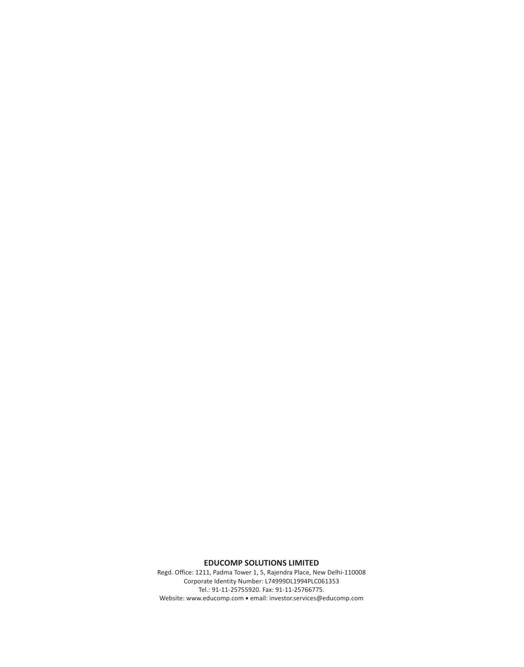## **EDUCOMP SOLUTIONS LIMITED**

Regd. Office: 1211, Padma Tower 1, 5, Rajendra Place, New Delhi-110008 Corporate Identity Number: L74999DL1994PLC061353 Tel.: 91-11-25755920. Fax: 91-11-25766775. Website: www.educomp.com ● email: investor.services@educomp.com